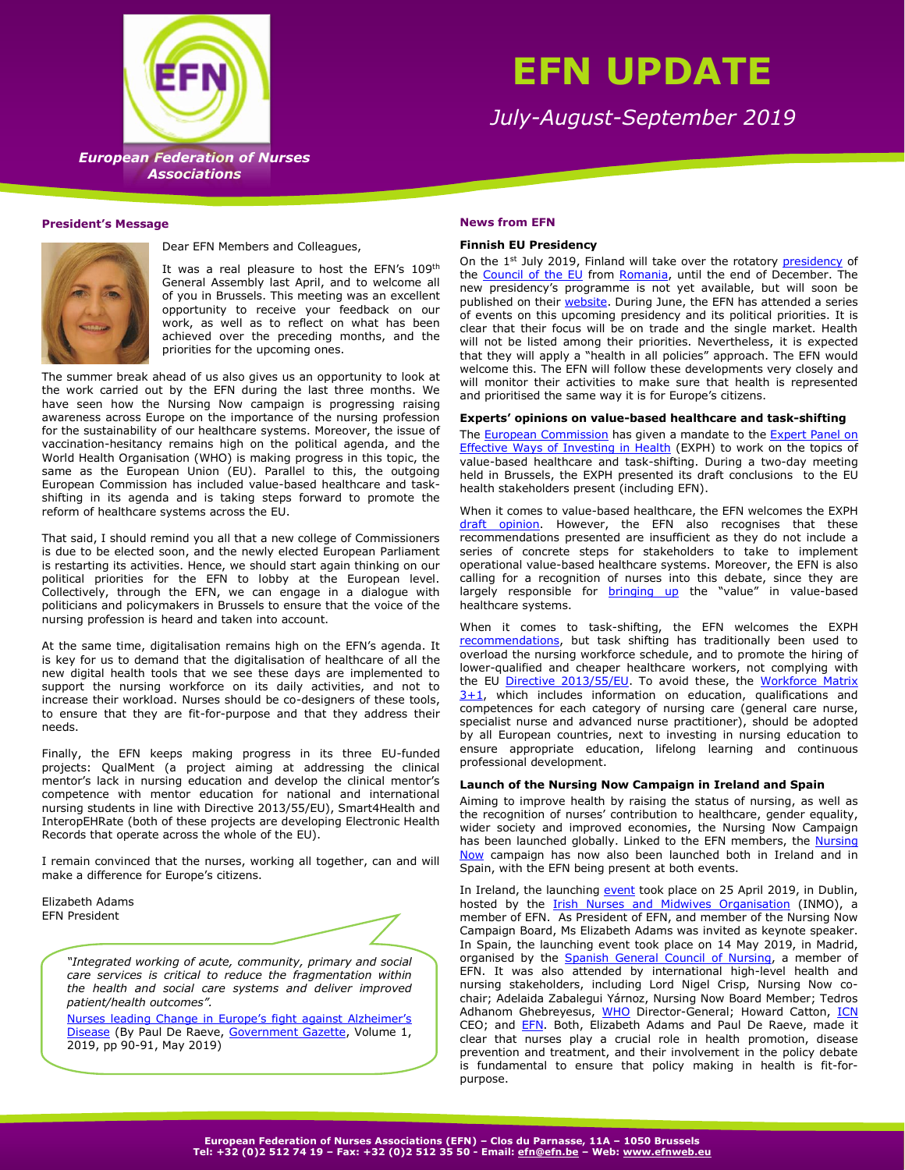

# **EFN UPDATE**

*July-August-September 2019*

**European Federation of Nurses**  *European Federation of Nurses*  **Associations** *Associations*

## **President's Message**



Dear EFN Members and Colleagues,

It was a real pleasure to host the EFN's 109<sup>th</sup> General Assembly last April, and to welcome all of you in Brussels. This meeting was an excellent opportunity to receive your feedback on our work, as well as to reflect on what has been achieved over the preceding months, and the priorities for the upcoming ones.

The summer break ahead of us also gives us an opportunity to look at the work carried out by the EFN during the last three months. We have seen how the Nursing Now campaign is progressing raising awareness across Europe on the importance of the nursing profession for the sustainability of our healthcare systems. Moreover, the issue of vaccination-hesitancy remains high on the political agenda, and the World Health Organisation (WHO) is making progress in this topic, the same as the European Union (EU). Parallel to this, the outgoing European Commission has included value-based healthcare and taskshifting in its agenda and is taking steps forward to promote the reform of healthcare systems across the EU.

That said, I should remind you all that a new college of Commissioners is due to be elected soon, and the newly elected European Parliament is restarting its activities. Hence, we should start again thinking on our political priorities for the EFN to lobby at the European level. Collectively, through the EFN, we can engage in a dialogue with politicians and policymakers in Brussels to ensure that the voice of the nursing profession is heard and taken into account.

At the same time, digitalisation remains high on the EFN's agenda. It is key for us to demand that the digitalisation of healthcare of all the new digital health tools that we see these days are implemented to support the nursing workforce on its daily activities, and not to increase their workload. Nurses should be co-designers of these tools, to ensure that they are fit-for-purpose and that they address their needs.

Finally, the EFN keeps making progress in its three EU-funded projects: QualMent (a project aiming at addressing the clinical mentor's lack in nursing education and develop the clinical mentor's competence with mentor education for national and international nursing students in line with Directive 2013/55/EU), Smart4Health and InteropEHRate (both of these projects are developing Electronic Health Records that operate across the whole of the EU).

I remain convinced that the nurses, working all together, can and will make a difference for Europe's citizens.

Elizabeth Adams EFN President



*"Integrated working of acute, community, primary and social care services is critical to reduce the fragmentation within the health and social care systems and deliver improved patient/health outcomes".* 

[Nurses leading Change in Euro](https://issuu.com/government.gazette/docs/government_gazette_-_vol_1__2019/90)pe's fight against Alzheimer's [Disease](https://issuu.com/government.gazette/docs/government_gazette_-_vol_1__2019/90) (By Paul De Raeve, [Government Gazette,](http://www.governmentgazette.eu/) Volume 1, 2019, pp 90-91, May 2019)

#### **News from EFN**

#### **Finnish EU Presidency**

On the 1<sup>st</sup> July 2019, Finland will take over the rotatory [presidency](https://eu2019.fi/) of the [Council of the EU](https://www.consilium.europa.eu/en/council-eu/) from [Romania,](https://www.romania2019.eu/home/) until the end of December. The new presidency's programme is not yet available, but will soon be published on their [website.](https://eu2019.fi/en/priorities-and-programme/programme) During June, the EFN has attended a series of events on this upcoming presidency and its political priorities. It is clear that their focus will be on trade and the single market. Health will not be listed among their priorities. Nevertheless, it is expected that they will apply a "health in all policies" approach. The EFN would welcome this. The EFN will follow these developments very closely and will monitor their activities to make sure that health is represented and prioritised the same way it is for Europe's citizens.

# **Experts' opinions on value-based healthcare and task-shifting**

Th[e European Commission](https://ec.europa.eu/) has given a mandate to the [Expert Panel on](https://ec.europa.eu/health/expert_panel/home_en)  [Effective Ways of Investing in Health](https://ec.europa.eu/health/expert_panel/home_en) (EXPH) to work on the topics of value-based healthcare and task-shifting. During a two-day meeting held in Brussels, the EXPH presented its draft conclusions to the EU health stakeholders present (including EFN).

When it comes to value-based healthcare, the EFN welcomes the EXPH [draft opinion.](https://ec.europa.eu/health/expert_panel/sites/expertpanel/files/024_valuebasedhealthcare_en.pdf) However, the EFN also recognises that these recommendations presented are insufficient as they do not include a series of concrete steps for stakeholders to take to implement operational value-based healthcare systems. Moreover, the EFN is also calling for a recognition of nurses into this debate, since they are largely responsible for **[bringing up](http://www.efnweb.be/wp-content/uploads/EFN-Policy-Statement-on-Value-Based-Health-and-Social-Ecosystem1.pdf)** the "value" in value-based healthcare systems.

When it comes to task-shifting, the EFN welcomes the EXPH [recommendations,](https://ec.europa.eu/health/expert_panel/sites/expertpanel/files/023_taskshifting_en.pdf) but task shifting has traditionally been used to overload the nursing workforce schedule, and to promote the hiring of lower-qualified and cheaper healthcare workers, not complying with the EU [Directive 2013/55/EU.](https://eur-lex.europa.eu/legal-content/EN/ALL/?uri=celex%3A32013L0055) To avoid these, the Workforce Matrix  $3+1$ , which includes information on education, qualifications and competences for each category of nursing care (general care nurse, specialist nurse and advanced nurse practitioner), should be adopted by all European countries, next to investing in nursing education to ensure appropriate education, lifelong learning and continuous professional development.

# **Launch of the Nursing Now Campaign in Ireland and Spain**

Aiming to improve health by raising the status of nursing, as well as the recognition of nurses' contribution to healthcare, gender equality, wider society and improved economies, the Nursing Now Campaign has been launched globally. Linked to the EFN members, the [Nursing](https://www.nursingnow.org/)  [Now](https://www.nursingnow.org/) campaign has now also been launched both in Ireland and in Spain, with the EFN being present at both events.

In Ireland, the launching [event](https://inmo.ie/Home/Index/217/13486) took place on 25 April 2019, in Dublin, hosted by the **[Irish Nurses and Midwives Organisation](https://www.inmo.ie/)** (INMO), a member of EFN. As President of EFN, and member of the Nursing Now Campaign Board, Ms Elizabeth Adams was invited as keynote speaker. In Spain, the launching event took place on 14 May 2019, in Madrid, organised by the **Spanish General Council of Nursing**, a member of EFN. It was also attended by international high-level health and nursing stakeholders, including Lord Nigel Crisp, Nursing Now cochair; Adelaida Zabalegui Yárnoz, Nursing Now Board Member; Tedros Adhanom Ghebreyesus, [WHO](https://www.who.int/) Director-General; Howard Catton, [ICN](http://www.icn.ch/) CEO; and **EFN**. Both, Elizabeth Adams and Paul De Raeve, made it clear that nurses play a crucial role in health promotion, disease prevention and treatment, and their involvement in the policy debate is fundamental to ensure that policy making in health is fit-forpurpose.